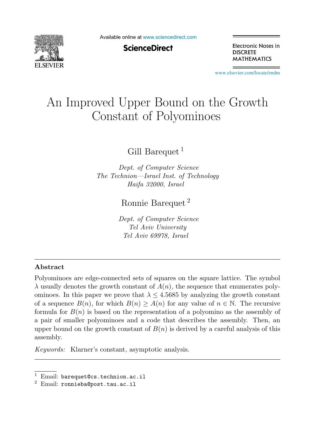

Available online at [www.sciencedirect.com](http://www.sciencedirect.com)

**ScienceDirect** 

Electronic Notes in **DISCRETE MATHEMATICS** 

[www.elsevier.com/locate/endm](http://www.elsevier.com/locate/endm)

# An Improved Upper Bound on the Growth Constant of Polyominoes

Gill Barequet<sup>1</sup>

*Dept. of Computer Science The Technion—Israel Inst. of Technology Haifa 32000, Israel*

Ronnie Barequet <sup>2</sup>

*Dept. of Computer Science Tel Aviv University Tel Aviv 69978, Israel*

#### **Abstract**

Polyominoes are edge-connected sets of squares on the square lattice. The symbol  $\lambda$  usually denotes the growth constant of  $A(n)$ , the sequence that enumerates polyominoes. In this paper we prove that  $\lambda \leq 4.5685$  by analyzing the growth constant of a sequence  $B(n)$ , for which  $B(n) \geq A(n)$  for any value of  $n \in \mathbb{N}$ . The recursive formula for  $B(n)$  is based on the representation of a polyomino as the assembly of a pair of smaller polyominoes and a code that describes the assembly. Then, an upper bound on the growth constant of  $B(n)$  is derived by a careful analysis of this assembly.

*Keywords:* Klarner's constant, asymptotic analysis.

<sup>&</sup>lt;sup>1</sup> Email: barequet@cs.technion.ac.il  $^2$  Email: ronnieba@post.tau.ac.il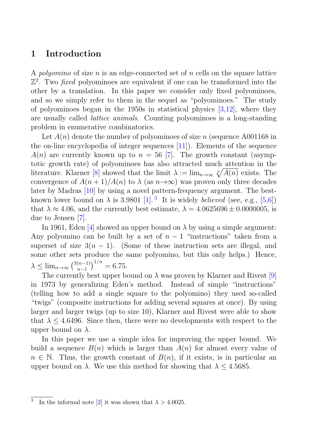### **1 Introduction**

A *polyomino* of size  $n$  is an edge-connected set of  $n$  cells on the square lattice  $\mathbb{Z}^2$ . Two *fixed* polyominoes are equivalent if one can be transformed into the other by a translation. In this paper we consider only fixed polyominoes, and so we simply refer to them in the sequel as "polyominoes." The study of polyominoes began in the 1950s in statistical physics  $[3,12]$ , where they are usually called lattice animals. Counting polyominoes is a long-standing problem in enumerative combinatorics.

Let  $A(n)$  denote the number of polyominoes of size n (sequence A001168 in the on-line encyclopedia of integer sequences [11]). Elements of the sequence  $A(n)$  are currently known up to  $n = 56$  [7]. The growth constant (asymptotic growth rate) of polyominoes has also attracted much attention in the literature. Klarner [8] showed that the limit  $\lambda := \lim_{n \to \infty} \sqrt[n]{A(n)}$  exists. The convergence of  $A(n+1)/A(n)$  to  $\lambda$  (as  $n\rightarrow\infty$ ) was proven only three decades later by Madras [10] by using a novel pattern-frequency argument. The bestknown lower bound on  $\lambda$  is 3.9801 [1].<sup>3</sup> It is widely *believed* (see, e.g., [5,6]) that  $\lambda \approx 4.06$ , and the currently best estimate,  $\lambda = 4.0625696 \pm 0.0000005$ , is due to Jensen [7].

In 1961, Eden [4] showed an upper bound on  $\lambda$  by using a simple argument: Any polyomino can be built by a set of  $n-1$  "instructions" taken from a superset of size  $3(n - 1)$ . (Some of these instruction sets are illegal, and some other sets produce the same polyomino, but this only helps.) Hence,  $\lambda \le \lim_{n \to \infty} \left(\frac{3(n-1)}{n-1}\right)^{1/n} = 6.75.$ 

The currently best upper bound on  $\lambda$  was proven by Klarner and Rivest [9] in 1973 by generalizing Eden's method. Instead of simple "instructions" (telling how to add a single square to the polyomino) they used so-called "twigs" (composite instructions for adding several squares at once). By using larger and larger twigs (up to size 10), Klarner and Rivest were able to show that  $\lambda \leq 4.6496$ . Since then, there were no developments with respect to the upper bound on  $\lambda$ .

In this paper we use a simple idea for improving the upper bound. We build a sequence  $B(n)$  which is larger than  $A(n)$  for almost every value of  $n \in \mathbb{N}$ . Thus, the growth constant of  $B(n)$ , if it exists, is in particular an upper bound on  $\lambda$ . We use this method for showing that  $\lambda \leq 4.5685$ .

<sup>&</sup>lt;sup>3</sup> In the informal note [2] it was shown that  $\lambda > 4.0025$ .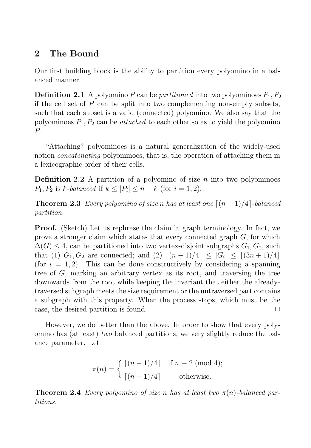## **2 The Bound**

Our first building block is the ability to partition every polyomino in a balanced manner.

**Definition 2.1** A polyomino P can be *partitioned* into two polyominoes  $P_1, P_2$ if the cell set of  $P$  can be split into two complementing non-empty subsets, such that each subset is a valid (connected) polyomino. We also say that the polyominoes  $P_1, P_2$  can be *attached* to each other so as to yield the polyomino P.

"Attaching" polyominoes is a natural generalization of the widely-used notion *concatenating* polyominoes, that is, the operation of attaching them in a lexicographic order of their cells.

**Definition 2.2** A partition of a polyomino of size  $n$  into two polyominoes  $P_1, P_2$  is k-balanced if  $k \leq |P_i| \leq n - k$  (for  $i = 1, 2$ ).

**Theorem 2.3** Every polyomino of size n has at least one  $\lceil (n-1)/4 \rceil$ -balanced partition.

**Proof.** (Sketch) Let us rephrase the claim in graph terminology. In fact, we prove a stronger claim which states that every connected graph  $G$ , for which  $\Delta(G) \leq 4$ , can be partitioned into two vertex-disjoint subgraphs  $G_1, G_2$ , such that (1)  $G_1, G_2$  are connected; and (2)  $\lceil (n-1)/4 \rceil \leq |G_i| \leq \lfloor (3n+1)/4 \rfloor$ (for  $i = 1, 2$ ). This can be done constructively by considering a spanning tree of  $G$ , marking an arbitrary vertex as its root, and traversing the tree downwards from the root while keeping the invariant that either the alreadytraversed subgraph meets the size requirement or the untraversed part contains a subgraph with this property. When the process stops, which must be the case, the desired partition is found.  $\Box$ 

However, we do better than the above. In order to show that every polyomino has (at least) two balanced partitions, we very slightly reduce the balance parameter. Let

$$
\pi(n) = \begin{cases} \lfloor (n-1)/4 \rfloor & \text{if } n \equiv 2 \pmod{4}; \\ \lceil (n-1)/4 \rceil & \text{otherwise.} \end{cases}
$$

**Theorem 2.4** Every polyomino of size n has at least two  $\pi(n)$ -balanced partitions.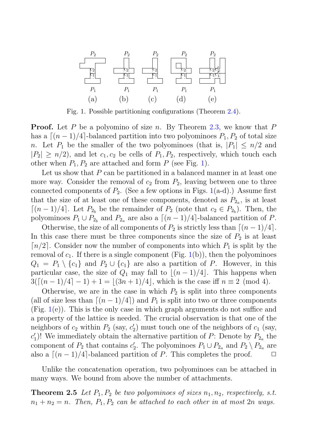

Fig. 1. Possible partitioning configurations (Theorem 2.4).

**Proof.** Let P be a polyomino of size n. By Theorem 2.3, we know that P has a  $[(n-1)/4]$ -balanced partition into two polyominoes  $P_1, P_2$  of total size n. Let  $P_1$  be the smaller of the two polyominoes (that is,  $|P_1| \leq n/2$  and  $|P_2| \geq n/2$ , and let  $c_1, c_2$  be cells of  $P_1, P_2$ , respectively, which touch each other when  $P_1$ ,  $P_2$  are attached and form P (see Fig. 1).

Let us show that  $P$  can be partitioned in a balanced manner in at least one more way. Consider the removal of  $c_2$  from  $P_2$ , leaving between one to three connected components of  $P_2$ . (See a few options in Figs. 1(a-d).) Assume first that the size of at least one of these components, denoted as  $P_{2a}$ , is at least  $\lceil (n-1)/4 \rceil$ . Let  $P_{2_b}$  be the remainder of  $P_2$  (note that  $c_2 \in P_{2_b}$ ). Then, the polyominoes  $P_1 \cup P_{2b}$  and  $P_{2a}$  are also a  $\lceil (n-1)/4 \rceil$ -balanced partition of P.

Otherwise, the size of all components of  $P_2$  is strictly less than  $\lceil (n-1)/4 \rceil$ . In this case there must be three components since the size of  $P_2$  is at least  $\lceil n/2 \rceil$ . Consider now the number of components into which  $P_1$  is split by the removal of  $c_1$ . If there is a single component (Fig. 1(b)), then the polyominoes  $Q_1 = P_1 \setminus \{c_1\}$  and  $P_2 \cup \{c_1\}$  are also a partition of P. However, in this particular case, the size of  $Q_1$  may fall to  $\lfloor (n-1)/4 \rfloor$ . This happens when  $3(\lceil (n-1)/4 \rceil - 1) + 1 = \lfloor (3n+1)/4 \rfloor$ , which is the case iff  $n \equiv 2 \pmod{4}$ .

Otherwise, we are in the case in which  $P_2$  is split into three components (all of size less than  $[(n-1)/4]$ ) and  $P_1$  is split into two or three components (Fig. 1(e)). This is the only case in which graph arguments do not suffice and a property of the lattice is needed. The crucial observation is that one of the neighbors of  $c_2$  within  $P_2$  (say,  $c'_2$ ) must touch one of the neighbors of  $c_1$  (say,  $c'_1$ )! We immediately obtain the alternative partition of P: Denote by  $P_{2a}$  the component of  $P_2$  that contains  $c'_2$ . The polyominoes  $P_1 \cup P_{2a}$  and  $P_2 \setminus P_{2a}$  are also a  $\lceil (n-1)/4 \rceil$ -balanced partition of P. This completes the proof.  $\Box$ 

Unlike the concatenation operation, two polyominoes can be attached in many ways. We bound from above the number of attachments.

**Theorem 2.5** Let  $P_1, P_2$  be two polyominoes of sizes  $n_1, n_2$ , respectively, s.t.  $n_1 + n_2 = n$ . Then,  $P_1, P_2$  can be attached to each other in at most  $2n$  ways.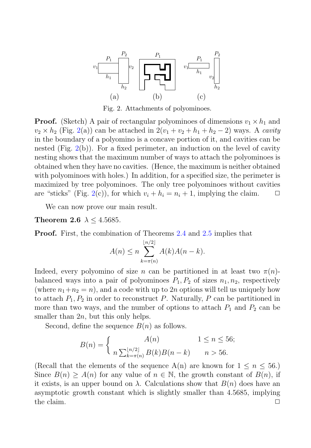

Fig. 2. Attachments of polyominoes.

**Proof.** (Sketch) A pair of rectangular polyominoes of dimensions  $v_1 \times h_1$  and  $v_2 \times h_2$  (Fig. 2(a)) can be attached in  $2(v_1 + v_2 + h_1 + h_2 - 2)$  ways. A cavity in the boundary of a polyomino is a concave portion of it, and cavities can be nested  $(Fig. 2(b))$ . For a fixed perimeter, an induction on the level of cavity nesting shows that the maximum number of ways to attach the polyominoes is obtained when they have no cavities. (Hence, the maximum is neither obtained with polyominoes with holes.) In addition, for a specified size, the perimeter is maximized by tree polyominoes. The only tree polyominoes without cavities are "sticks" (Fig. 2(c)), for which  $v_i + h_i = n_i + 1$ , implying the claim.  $\Box$ 

We can now prove our main result.

**Theorem 2.6**  $\lambda$  < 4.5685.

**Proof.** First, the combination of Theorems 2.4 and 2.5 implies that

$$
A(n) \le n \sum_{k=\pi(n)}^{\lfloor n/2 \rfloor} A(k)A(n-k).
$$

Indeed, every polyomino of size n can be partitioned in at least two  $\pi(n)$ balanced ways into a pair of polyominoes  $P_1, P_2$  of sizes  $n_1, n_2$ , respectively (where  $n_1+n_2 = n$ ), and a code with up to 2n options will tell us uniquely how to attach  $P_1, P_2$  in order to reconstruct P. Naturally, P can be partitioned in more than two ways, and the number of options to attach  $P_1$  and  $P_2$  can be smaller than  $2n$ , but this only helps.

Second, define the sequence  $B(n)$  as follows.

$$
B(n) = \begin{cases} A(n) & 1 \le n \le 56; \\ n \sum_{k=\pi(n)}^{\lfloor n/2 \rfloor} B(k)B(n-k) & n > 56. \end{cases}
$$

(Recall that the elements of the sequence  $A(n)$  are known for  $1 \leq n \leq 56$ .) Since  $B(n) \geq A(n)$  for any value of  $n \in \mathbb{N}$ , the growth constant of  $B(n)$ , if it exists, is an upper bound on  $\lambda$ . Calculations show that  $B(n)$  does have an asymptotic growth constant which is slightly smaller than 4.5685, implying the claim.  $\Box$